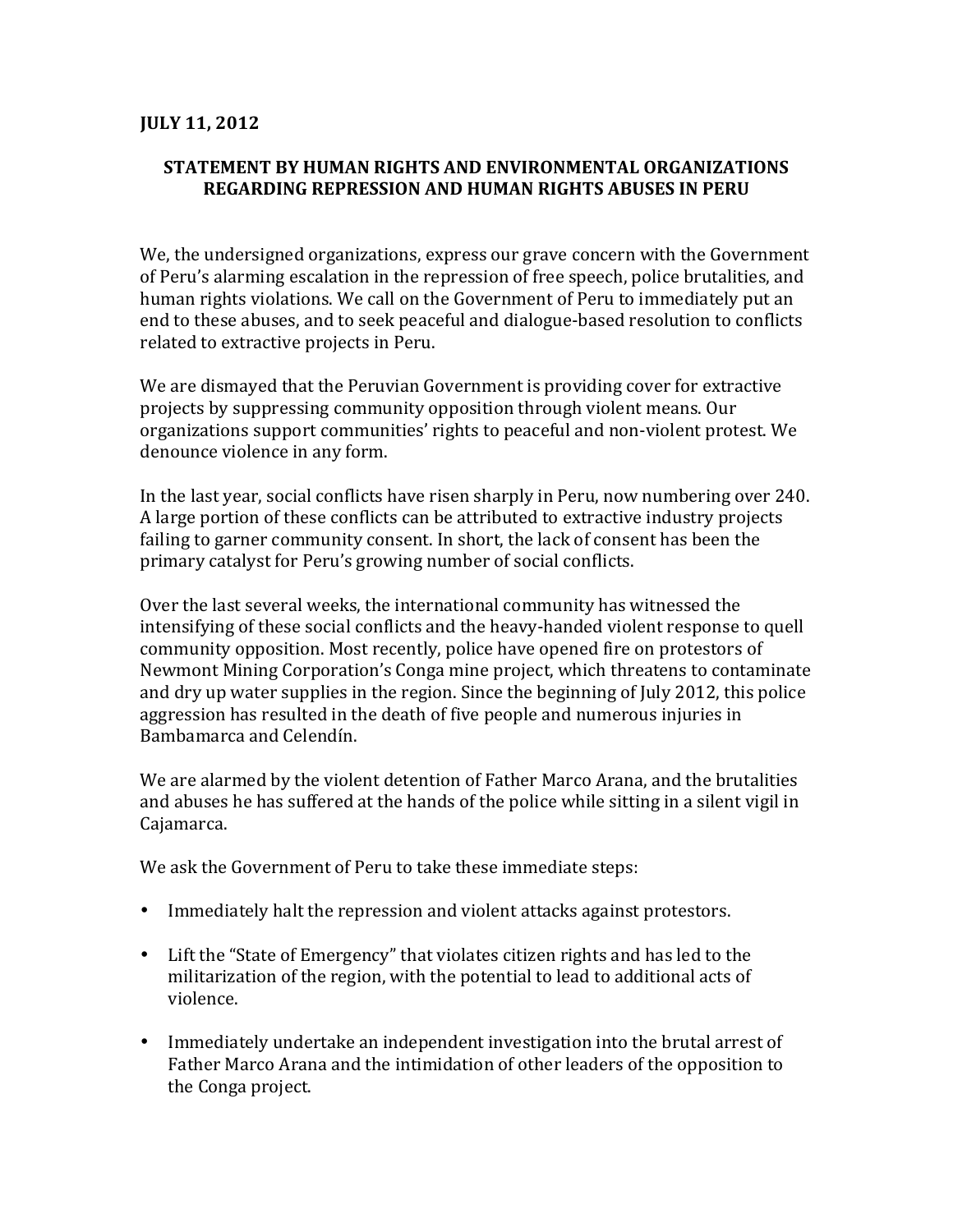## **JULY 11, 2012**

## **STATEMENT BY HUMAN RIGHTS AND ENVIRONMENTAL ORGANIZATIONS REGARDING%REPRESSION%AND%HUMAN%RIGHTS%ABUSES%IN%PERU**

We, the undersigned organizations, express our grave concern with the Government of Peru's alarming escalation in the repression of free speech, police brutalities, and human rights violations. We call on the Government of Peru to immediately put an end to these abuses, and to seek peaceful and dialogue-based resolution to conflicts related to extractive projects in Peru.

We are dismayed that the Peruvian Government is providing cover for extractive projects by suppressing community opposition through violent means. Our organizations support communities' rights to peaceful and non-violent protest. We denounce violence in any form.

In the last year, social conflicts have risen sharply in Peru, now numbering over 240. A large portion of these conflicts can be attributed to extractive industry projects failing to garner community consent. In short, the lack of consent has been the primary catalyst for Peru's growing number of social conflicts.

Over the last several weeks, the international community has witnessed the intensifying of these social conflicts and the heavy-handed violent response to quell community opposition. Most recently, police have opened fire on protestors of Newmont Mining Corporation's Conga mine project, which threatens to contaminate and dry up water supplies in the region. Since the beginning of July 2012, this police aggression has resulted in the death of five people and numerous injuries in Bambamarca and Celendín.

We are alarmed by the violent detention of Father Marco Arana, and the brutalities and abuses he has suffered at the hands of the police while sitting in a silent vigil in Cajamarca.

We ask the Government of Peru to take these immediate steps:

- Immediately halt the repression and violent attacks against protestors.
- Lift the "State of Emergency" that violates citizen rights and has led to the militarization of the region, with the potential to lead to additional acts of violence.
- Immediately undertake an independent investigation into the brutal arrest of Father Marco Arana and the intimidation of other leaders of the opposition to the Conga project.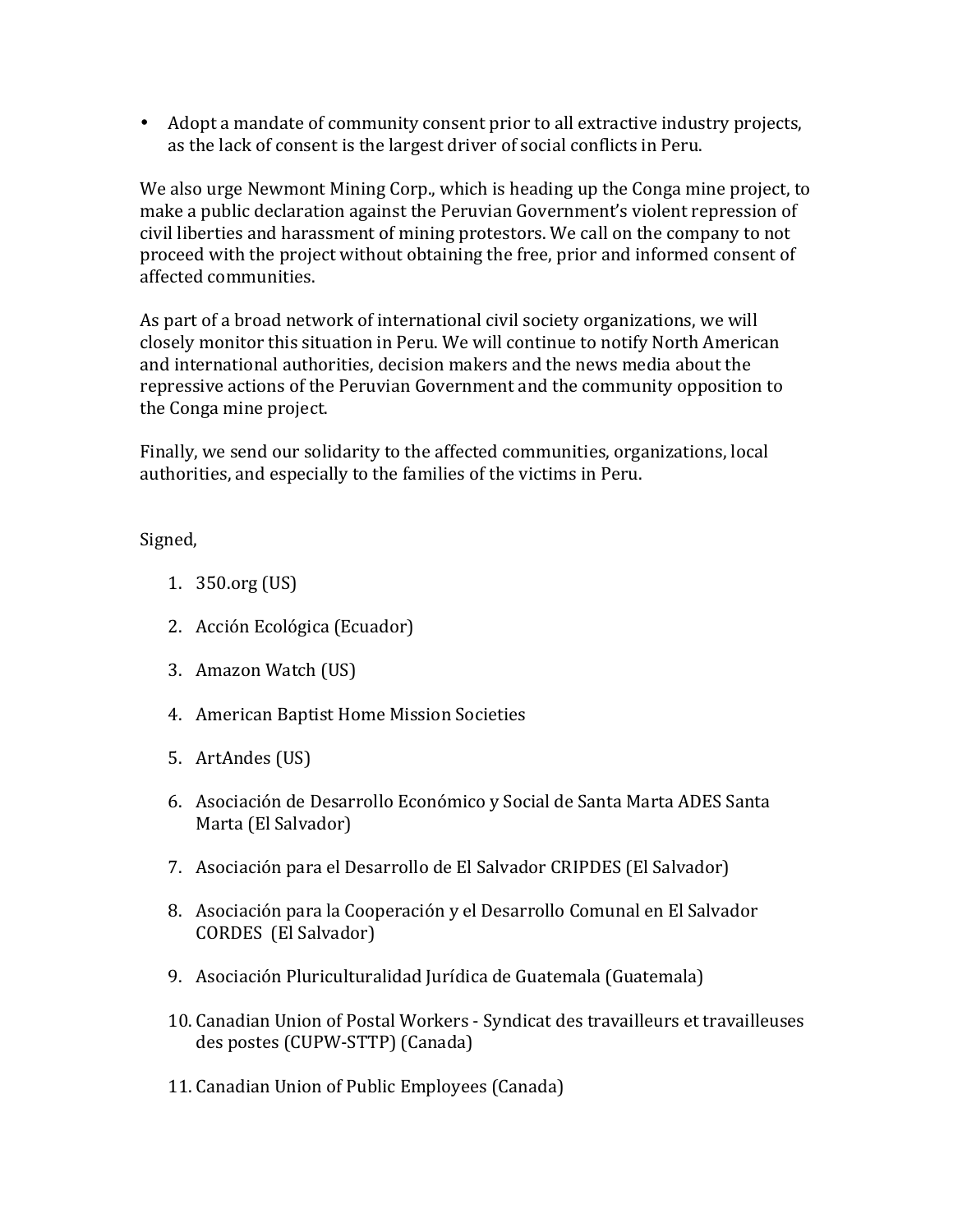• Adopt a mandate of community consent prior to all extractive industry projects, as the lack of consent is the largest driver of social conflicts in Peru.

We also urge Newmont Mining Corp., which is heading up the Conga mine project, to make a public declaration against the Peruvian Government's violent repression of civil liberties and harassment of mining protestors. We call on the company to not proceed with the project without obtaining the free, prior and informed consent of affected communities.

As part of a broad network of international civil society organizations, we will closely monitor this situation in Peru. We will continue to notify North American and international authorities, decision makers and the news media about the repressive actions of the Peruvian Government and the community opposition to the Conga mine project.

Finally, we send our solidarity to the affected communities, organizations, local authorities, and especially to the families of the victims in Peru.

Signed,

- 1.  $350.org$  (US)
- 2. Acción Ecológica (Ecuador)
- 3. Amazon Watch (US)
- 4. American Baptist Home Mission Societies
- 5. ArtAndes (US)
- 6. Asociación de Desarrollo Económico y Social de Santa Marta ADES Santa Marta (El Salvador)
- 7. Asociación para el Desarrollo de El Salvador CRIPDES (El Salvador)
- 8. Asociación para la Cooperación y el Desarrollo Comunal en El Salvador CORDES (El Salvador)
- 9. Asociación Pluriculturalidad Jurídica de Guatemala (Guatemala)
- 10. Canadian Union of Postal Workers Syndicat des travailleurs et travailleuses des postes (CUPW-STTP) (Canada)
- 11. Canadian Union of Public Employees (Canada)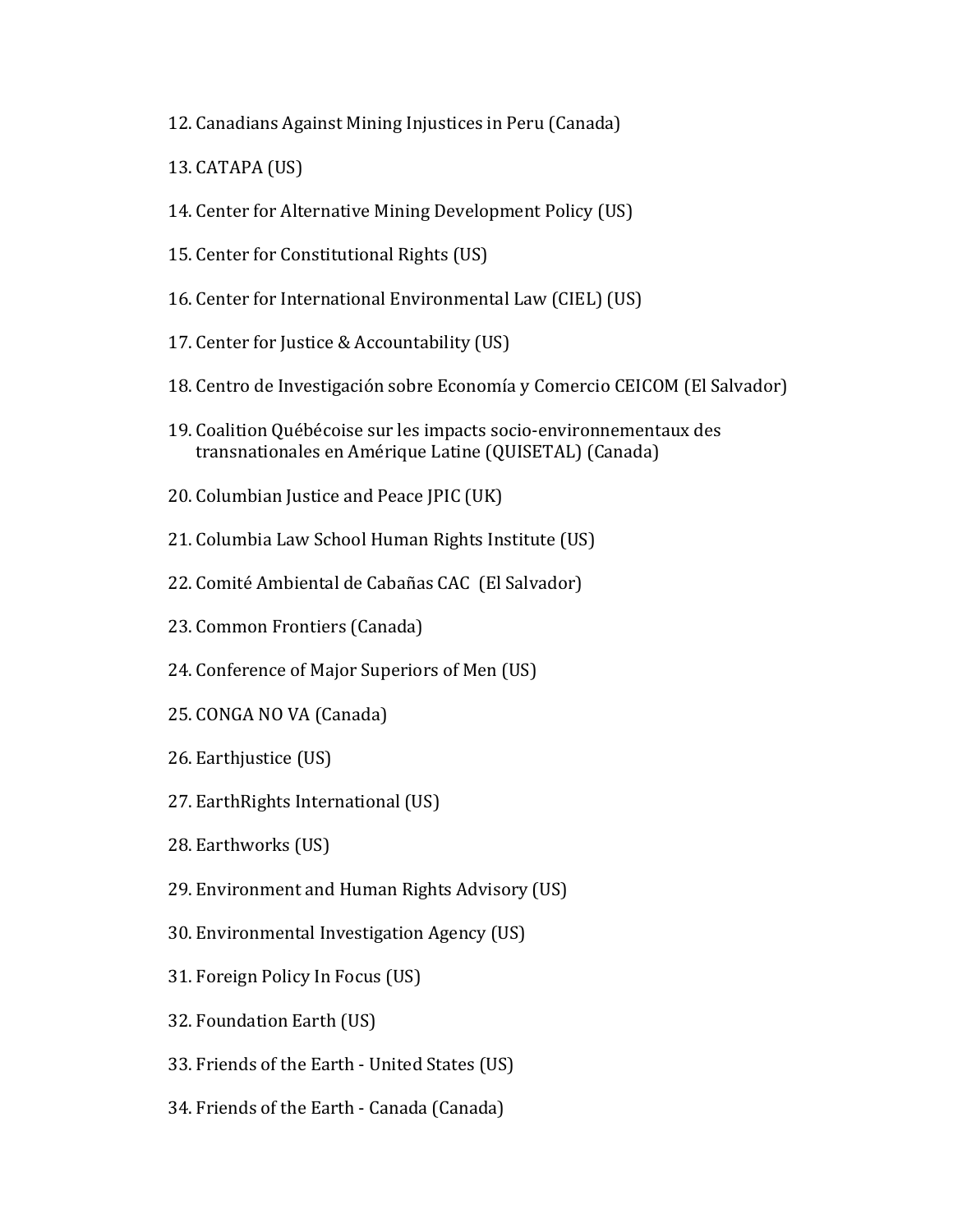- 12. Canadians Against Mining Injustices in Peru (Canada)
- $13$ . CATAPA (US)
- 14. Center for Alternative Mining Development Policy (US)
- 15. Center for Constitutional Rights (US)
- 16. Center for International Environmental Law (CIEL) (US)
- 17. Center for Justice & Accountability (US)
- 18. Centro de Investigación sobre Economía y Comercio CEICOM (El Salvador)
- 19. Coalition Québécoise sur les impacts socio-environnementaux des transnationales en Amérique Latine (QUISETAL) (Canada)
- 20. Columbian Justice and Peace JPIC (UK)
- 21. Columbia Law School Human Rights Institute (US)
- 22. Comité Ambiental de Cabañas CAC (El Salvador)
- 23. Common Frontiers (Canada)
- 24. Conference of Major Superiors of Men (US)
- 25. CONGA NO VA (Canada)
- 26. Earthjustice (US)
- 27. Earth Rights International (US)
- 28. Earthworks (US)
- 29. Environment and Human Rights Advisory (US)
- 30. Environmental Investigation Agency (US)
- 31. Foreign Policy In Focus (US)
- 32. Foundation Earth (US)
- 33. Friends of the Earth United States (US)
- 34. Friends of the Earth Canada (Canada)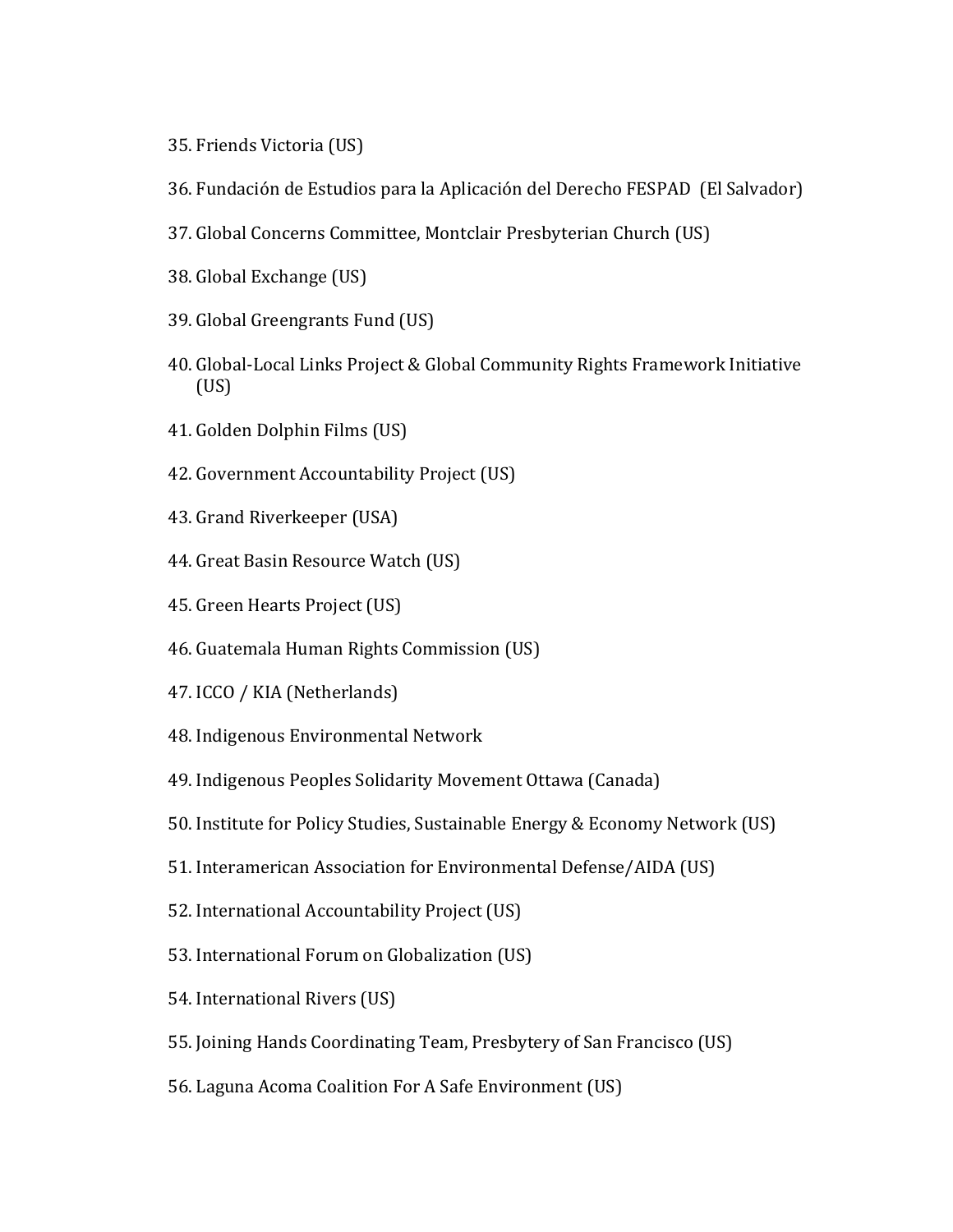- 35. Friends Victoria (US)
- 36. Fundación de Estudios para la Aplicación del Derecho FESPAD (El Salvador)
- 37. Global Concerns Committee, Montclair Presbyterian Church (US)
- 38. Global Exchange (US)
- 39. Global Greengrants Fund (US)
- 40. Global-Local Links Project & Global Community Rights Framework Initiative (US)
- 41. Golden Dolphin Films (US)
- 42. Government Accountability Project (US)
- 43. Grand Riverkeeper (USA)
- 44. Great Basin Resource Watch (US)
- 45. Green Hearts Project (US)
- 46. Guatemala Human Rights Commission (US)
- 47. ICCO / KIA (Netherlands)
- 48. Indigenous Environmental Network
- 49. Indigenous Peoples Solidarity Movement Ottawa (Canada)
- 50. Institute for Policy Studies, Sustainable Energy & Economy Network (US)
- 51. Interamerican Association for Environmental Defense/AIDA (US)
- 52. International Accountability Project (US)
- 53. International Forum on Globalization (US)
- 54. International Rivers (US)
- 55. Joining Hands Coordinating Team, Presbytery of San Francisco (US)
- 56. Laguna Acoma Coalition For A Safe Environment (US)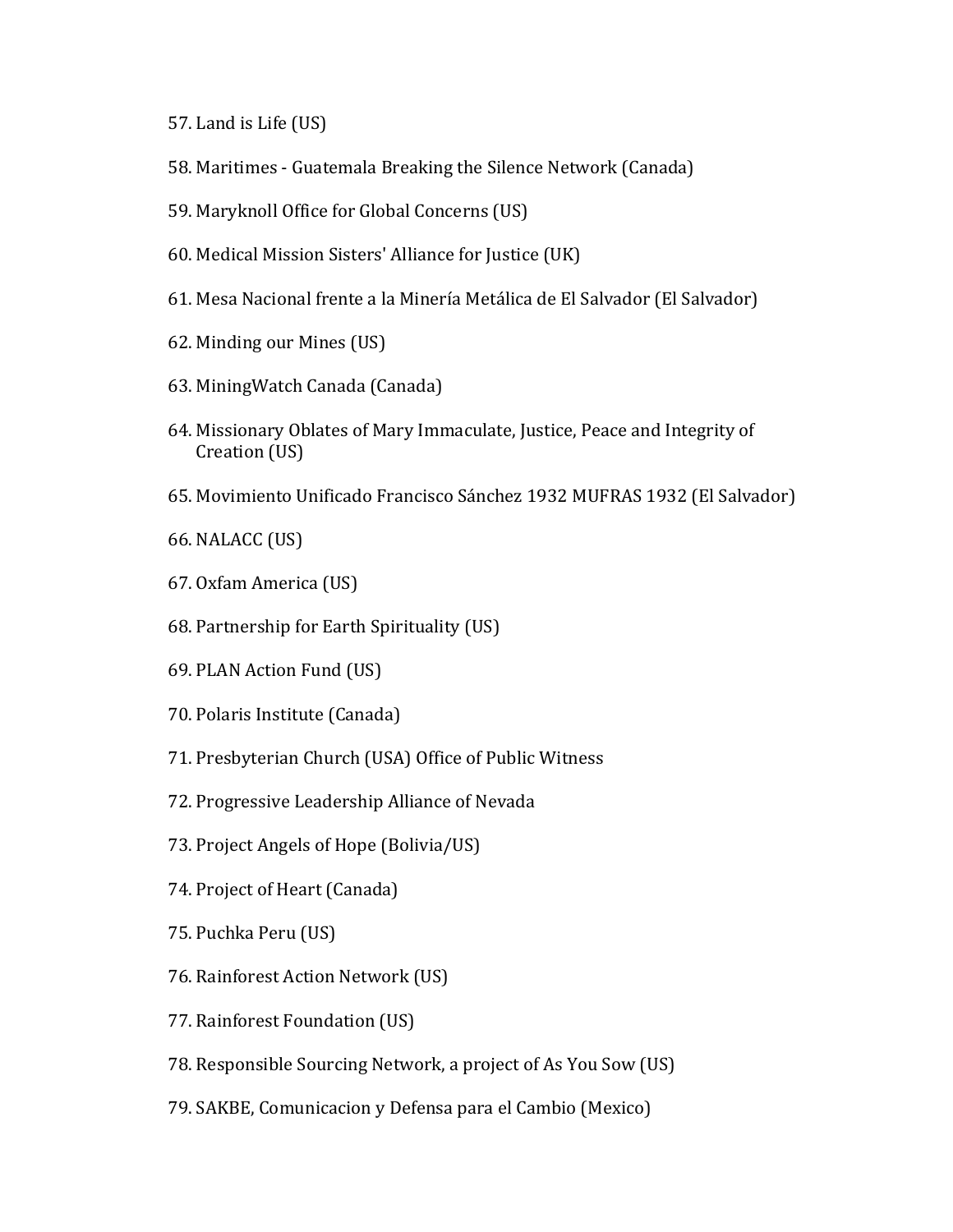- 57. Land is Life (US)
- 58. Maritimes Guatemala Breaking the Silence Network (Canada)
- 59. Maryknoll Office for Global Concerns (US)
- 60. Medical Mission Sisters' Alliance for Justice (UK)
- 61. Mesa Nacional frente a la Minería Metálica de El Salvador (El Salvador)
- 62. Minding our Mines (US)
- 63. Mining Watch Canada (Canada)
- 64. Missionary Oblates of Mary Immaculate, Justice, Peace and Integrity of Creation (US)
- 65. Movimiento Unificado Francisco Sánchez 1932 MUFRAS 1932 (El Salvador)

66. NALACC (US)

- 67. Oxfam America (US)
- 68. Partnership for Earth Spirituality (US)
- 69. PLAN Action Fund (US)
- 70. Polaris Institute (Canada)
- 71. Presbyterian Church (USA) Office of Public Witness
- 72. Progressive Leadership Alliance of Nevada
- 73. Project Angels of Hope (Bolivia/US)
- 74. Project of Heart (Canada)
- 75. Puchka Peru (US)
- 76. Rainforest Action Network (US)
- 77. Rainforest Foundation (US)
- 78. Responsible Sourcing Network, a project of As You Sow (US)
- 79. SAKBE, Comunicacion y Defensa para el Cambio (Mexico)